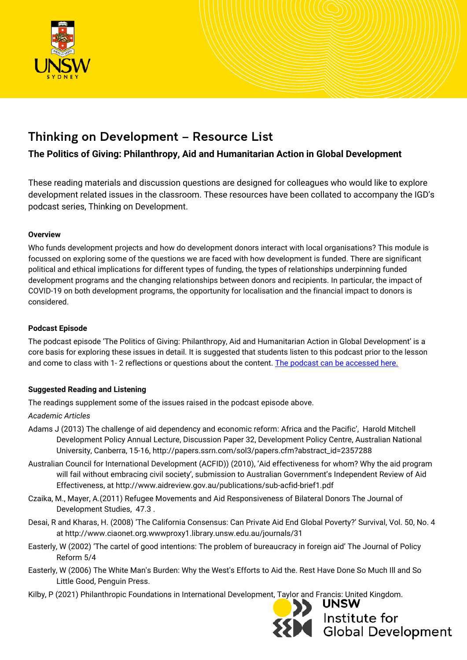

# Thinking on Development – Resource List

## **The Politics of Giving: Philanthropy, Aid and Humanitarian Action in Global Development**

These reading materials and discussion questions are designed for colleagues who would like to explore development related issues in the classroom. These resources have been collated to accompany the IGD's podcast series, Thinking on Development.

## **Overview**

Who funds development projects and how do development donors interact with local organisations? This module is focussed on exploring some of the questions we are faced with how development is funded. There are significant political and ethical implications for different types of funding, the types of relationships underpinning funded development programs and the changing relationships between donors and recipients. In particular, the impact of COVID-19 on both development programs, the opportunity for localisation and the financial impact to donors is considered.

## **Podcast Episode**

The podcast episode 'The Politics of Giving: Philanthropy, Aid and Humanitarian Action in Global Development' is a core basis for exploring these issues in detail. It is suggested that students listen to this podcast prior to the lesson and come to class with 1- 2 reflections or questions about the content. [The podcast can be accessed here.](https://soundcloud.com/unsw_igd/the-politics-of-giving-philanthropy-aid-and-humanitarian-action)

## **Suggested Reading and Listening**

The readings supplement some of the issues raised in the podcast episode above.

## *Academic Articles*

- Adams J (2013) The challenge of aid dependency and economic reform: Africa and the Pacific', Harold Mitchell Development Policy Annual Lecture, Discussion Paper 32, Development Policy Centre, Australian National University, Canberra, 15-16, http://papers.ssrn.com/sol3/papers.cfm?abstract\_id=2357288
- Australian Council for International Development (ACFID)) (2010), 'Aid effectiveness for whom? Why the aid program will fail without embracing civil society', submission to Australian Government's Independent Review of Aid Effectiveness, at http://www.aidreview.gov.au/publications/sub-acfid-brief1.pdf
- Czaika, M., Mayer, A.(2011) Refugee Movements and Aid Responsiveness of Bilateral Donors The Journal of Development Studies, 47.3 .
- Desai, R and Kharas, H. (2008) 'The California Consensus: Can Private Aid End Global Poverty?' Survival, Vol. 50, No. 4 at http://www.ciaonet.org.wwwproxy1.library.unsw.edu.au/journals/31
- Easterly, W (2002) 'The cartel of good intentions: The problem of bureaucracy in foreign aid' The Journal of Policy Reform 5/4
- Easterly, W (2006) The White Man's Burden: Why the West's Efforts to Aid the. Rest Have Done So Much Ill and So Little Good, Penguin Press.
- Kilby, P (2021) Philanthropic Foundations in International Development, Taylor and Francis: United Kingdom.



**UNSW** Institute for<br>Global Development